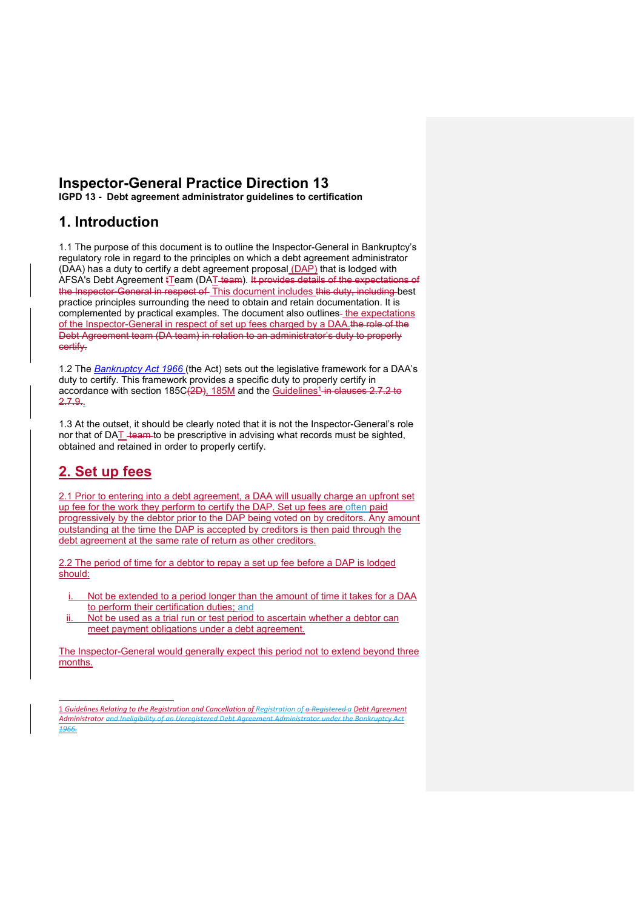# **Inspector-General Practice Direction 13 IGPD 13 - Debt agreement administrator guidelines to certification**

**1. Introduction** 

1.1 The purpose of this document is to outline the Inspector-General in Bankruptcy's regulatory role in regard to the principles on which a debt agreement administrator (DAA) has a duty to certify a debt agreement proposal (DAP) that is lodged with AFSA's Debt Agreement tTeam (DAT team). It provides details of the expectation the Inspector-General in respect of This document includes this duty, including best practice principles surrounding the need to obtain and retain documentation. It is complemented by practical examples. The document also outlines- the expectations of the Inspector-General in respect of set up fees charged by a DAA.the role of the Debt Agreement team (DA team) in relation to an administrator's duty to properly certify.

1.2 The *Bankruptcy Act 1966* (the Act) sets out the legislative framework for a DAA's duty to certify. This framework provides a specific duty to properly certify in accordance with section 185C(2D), 185M and the Guidelines<sup>1</sup> in clauses 2.7.2 to 2.7.9..

1.3 At the outset, it should be clearly noted that it is not the Inspector-General's role nor that of DAT team to be prescriptive in advising what records must be sighted, obtained and retained in order to properly certify.

# **2. Set up fees**

2.1 Prior to entering into a debt agreement, a DAA will usually charge an upfront set up fee for the work they perform to certify the DAP. Set up fees are often paid progressively by the debtor prior to the DAP being voted on by creditors. Any amount outstanding at the time the DAP is accepted by creditors is then paid through the debt agreement at the same rate of return as other creditors.

2.2 The period of time for a debtor to repay a set up fee before a DAP is lodged should:

- Not be extended to a period longer than the amount of time it takes for a DAA to perform their certification duties; and
- ii. Not be used as a trial run or test period to ascertain whether a debtor can meet payment obligations under a debt agreement.

The Inspector-General would generally expect this period not to extend beyond three months.

<sup>1</sup> *Guidelines Relating to the Registration and Cancellation of Registration of a Registered a Debt Agreement Administrator and Ineligibility of an Unregistered Debt Agreement Administrator under the Bankruptcy Act 1966.*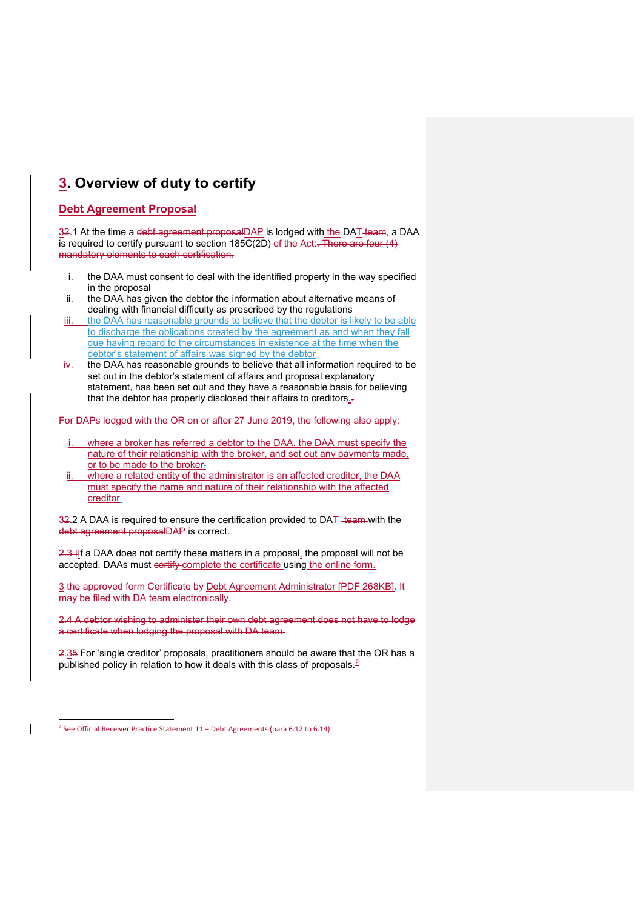# **3. Overview of duty to certify**

# **Debt Agreement Proposal**

32.1 At the time a debt agreement proposalDAP is lodged with the DAT-team, a DAA  $\overline{a}$  is required to certify pursuant to section 185C(2D) of the Act:. There are four (4) mandatory elements to each certification.

- i. the DAA must consent to deal with the identified property in the way specified in the proposal
- ii. the DAA has given the debtor the information about alternative means of dealing with financial difficulty as prescribed by the regulations
- iii. the DAA has reasonable grounds to believe that the debtor is likely to be able to discharge the obligations created by the agreement as and when they fall due having regard to the circumstances in existence at the time when the debtor's statement of affairs was signed by the debtor
- iv. the DAA has reasonable grounds to believe that all information required to be set out in the debtor's statement of affairs and proposal explanatory statement, has been set out and they have a reasonable basis for believing that the debtor has properly disclosed their affairs to creditors..

For DAPs lodged with the OR on or after 27 June 2019, the following also apply:

- where a broker has referred a debtor to the DAA, the DAA must specify the nature of their relationship with the broker, and set out any payments made, or to be made to the broker<sub>1</sub>
- where a related entity of the administrator is an affected creditor, the DAA must specify the name and nature of their relationship with the affected creditor.

 $32.2$  A DAA is required to ensure the certification provided to DAT team with the debt agreement proposalDAP is correct.

2.3 IIf a DAA does not certify these matters in a proposal, the proposal will not be accepted. DAAs must certify complete the certificate using the online form.

3 the approved form Certificate by Debt Agreement Administrator [PDF 268KB]. It may be filed with DA team electronically.

2.4 A debtor wishing to administer their own debt agreement does not have to lodge a certificate when lodging the proposal with DA team.

2.35 For 'single creditor' proposals, practitioners should be aware that the OR has a published policy in relation to how it deals with this class of proposals.<sup>2</sup>

<sup>2</sup> See Official Receiver Practice Statement 11 – Debt Agreements (para 6.12 to 6.14)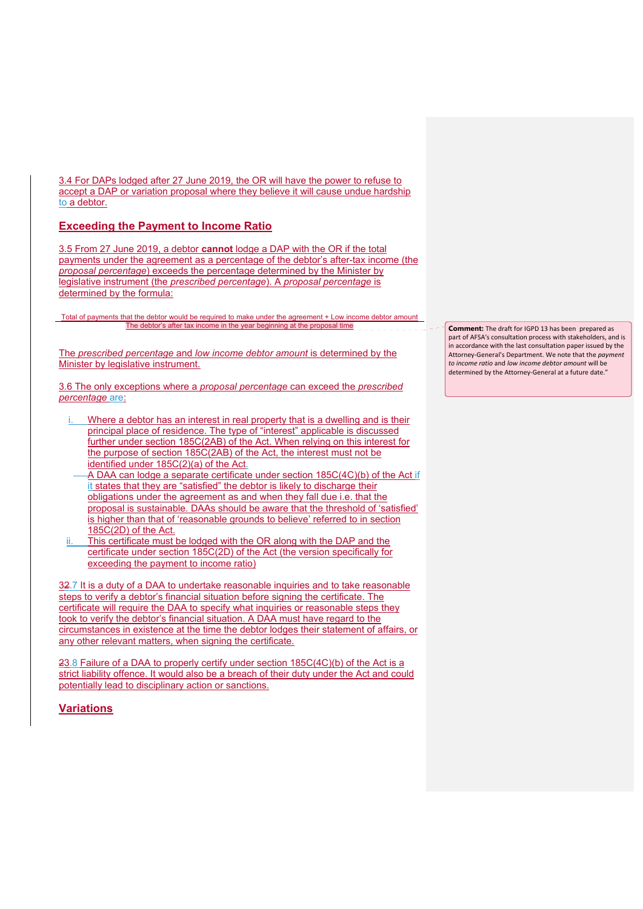3.4 For DAPs lodged after 27 June 2019, the OR will have the power to refuse to accept a DAP or variation proposal where they believe it will cause undue hardship to a debtor.

## **Exceeding the Payment to Income Ratio**

3.5 From 27 June 2019, a debtor **cannot** lodge a DAP with the OR if the total payments under the agreement as a percentage of the debtor's after-tax income (the *proposal percentage*) exceeds the percentage determined by the Minister by legislative instrument (the *prescribed percentage*). A *proposal percentage* is determined by the formula:

Total of payments that the debtor would be required to make under the agreement + Low income debtor amount The debtor's after tax income in the year beginning at the proposal time

The *prescribed percentage* and *low income debtor amount* is determined by the Minister by legislative instrument.

3.6 The only exceptions where a *proposal percentage* can exceed the *prescribed percentage* are:

- Where a debtor has an interest in real property that is a dwelling and is their principal place of residence. The type of "interest" applicable is discussed further under section 185C(2AB) of the Act. When relying on this interest for the purpose of section 185C(2AB) of the Act, the interest must not be identified under 185C(2)(a) of the Act.
- A DAA can lodge a separate certificate under section 185C(4C)(b) of the Act if it states that they are "satisfied" the debtor is likely to discharge their obligations under the agreement as and when they fall due i.e. that the proposal is sustainable. DAAs should be aware that the threshold of 'satisfied' is higher than that of 'reasonable grounds to believe' referred to in section 185C(2D) of the Act.
- This certificate must be lodged with the OR along with the DAP and the certificate under section 185C(2D) of the Act (the version specifically for exceeding the payment to income ratio)

32.7 It is a duty of a DAA to undertake reasonable inquiries and to take reasonable steps to verify a debtor's financial situation before signing the certificate. The certificate will require the DAA to specify what inquiries or reasonable steps they took to verify the debtor's financial situation. A DAA must have regard to the circumstances in existence at the time the debtor lodges their statement of affairs, or any other relevant matters, when signing the certificate.

23.8 Failure of a DAA to properly certify under section 185C(4C)(b) of the Act is a strict liability offence. It would also be a breach of their duty under the Act and could potentially lead to disciplinary action or sanctions.

# **Variations**

**Comment:** The draft for IGPD 13 has been prepared as part of AFSA's consultation process with stakeholders, and is in accordance with the last consultation paper issued by the Attorney‐General's Department. We note that the *payment to income ratio* and *low income debtor amount* will be determined by the Attorney‐General at a future date."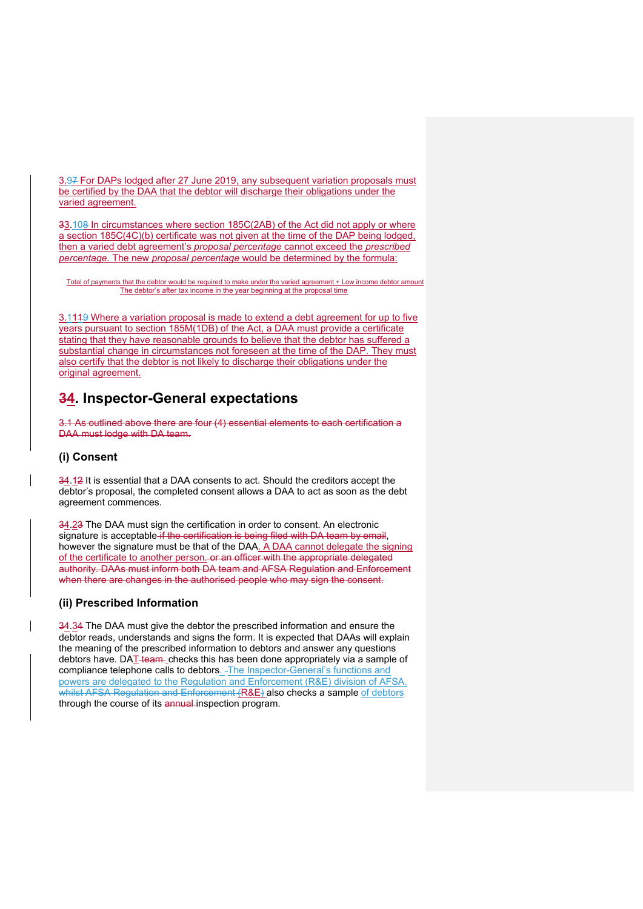3.97 For DAPs lodged after 27 June 2019, any subsequent variation proposals must be certified by the DAA that the debtor will discharge their obligations under the varied agreement.

33.108 In circumstances where section 185C(2AB) of the Act did not apply or where a section 185C(4C)(b) certificate was not given at the time of the DAP being lodged, then a varied debt agreement's *proposal percentage* cannot exceed the *prescribed percentage*. The new *proposal percentage* would be determined by the formula:

Total of payments that the debtor would be required to make under the varied agreement + Low income debtor amount The debtor's after tax income in the year beginning at the proposal time

3.1119 Where a variation proposal is made to extend a debt agreement for up to five years pursuant to section 185M(1DB) of the Act, a DAA must provide a certificate stating that they have reasonable grounds to believe that the debtor has suffered a substantial change in circumstances not foreseen at the time of the DAP. They must also certify that the debtor is not likely to discharge their obligations under the original agreement.

# **34. Inspector-General expectations**

3.1 As outlined above there are four (4) essential elements to each certification a DAA must lodge with DA team.

### **(i) Consent**

34.12 It is essential that a DAA consents to act. Should the creditors accept the debtor's proposal, the completed consent allows a DAA to act as soon as the debt agreement commences.

34.23 The DAA must sign the certification in order to consent. An electronic signature is acceptable if the certification is being filed with DA team by email, however the signature must be that of the DAA. A DAA cannot delegate the signing of the certificate to another person. or an officer with the appropriate delegated authority. DAAs must inform both DA team and AFSA Regulation and Enforcement when there are changes in the authorised people who may sign the consent.

### **(ii) Prescribed Information**

34.34 The DAA must give the debtor the prescribed information and ensure the debtor reads, understands and signs the form. It is expected that DAAs will explain the meaning of the prescribed information to debtors and answer any questions debtors have. DAT-team- checks this has been done appropriately via a sample of compliance telephone calls to debtors. The Inspector-General's functions and powers are delegated to the Regulation and Enforcement (R&E) division of AFSA. whilst AFSA Regulation and Enforcement (R&E) also checks a sample of debtors through the course of its annual inspection program.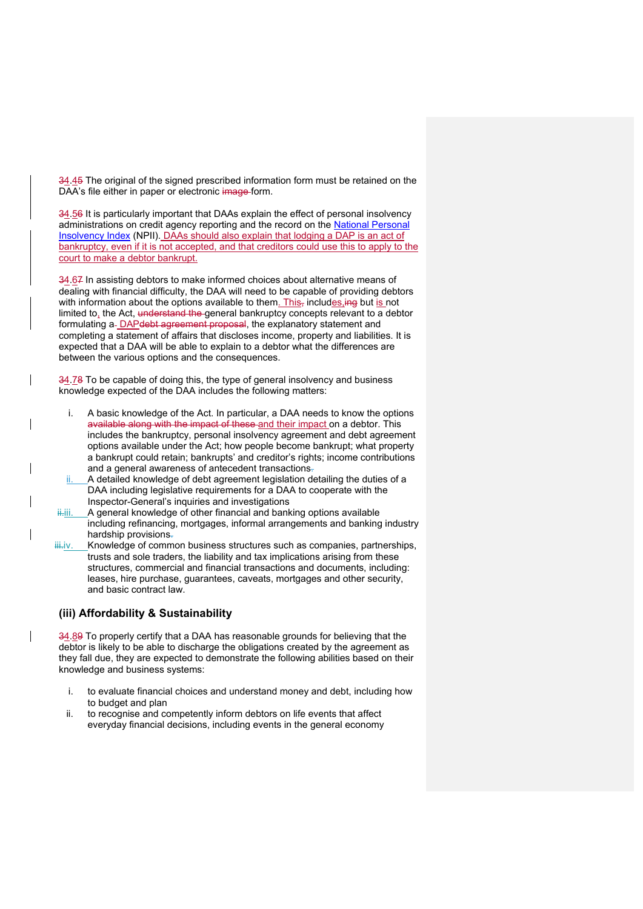34.45 The original of the signed prescribed information form must be retained on the DAA's file either in paper or electronic image-form.

34.56 It is particularly important that DAAs explain the effect of personal insolvency administrations on credit agency reporting and the record on the National Personal Insolvency Index (NPII). DAAs should also explain that lodging a DAP is an act of bankruptcy, even if it is not accepted, and that creditors could use this to apply to the court to make a debtor bankrupt.

34.67 In assisting debtors to make informed choices about alternative means of dealing with financial difficulty, the DAA will need to be capable of providing debtors with information about the options available to them. This, includes,  $\text{ing}$  but is not limited to, the Act, understand the general bankruptcy concepts relevant to a debtor formulating a-DAPdebt agreement proposal, the explanatory statement and completing a statement of affairs that discloses income, property and liabilities. It is expected that a DAA will be able to explain to a debtor what the differences are between the various options and the consequences.

34.78 To be capable of doing this, the type of general insolvency and business knowledge expected of the DAA includes the following matters:

- i. A basic knowledge of the Act. In particular, a DAA needs to know the options available along with the impact of these and their impact on a debtor. This includes the bankruptcy, personal insolvency agreement and debt agreement options available under the Act; how people become bankrupt; what property a bankrupt could retain; bankrupts' and creditor's rights; income contributions and a general awareness of antecedent transactions.
- A detailed knowledge of debt agreement legislation detailing the duties of a DAA including legislative requirements for a DAA to cooperate with the Inspector-General's inquiries and investigations
- A general knowledge of other financial and banking options available including refinancing, mortgages, informal arrangements and banking industry hardship provisions.
- iii.iv. Knowledge of common business structures such as companies, partnerships, trusts and sole traders, the liability and tax implications arising from these structures, commercial and financial transactions and documents, including: leases, hire purchase, guarantees, caveats, mortgages and other security, and basic contract law.

### **(iii) Affordability & Sustainability**

34.89 To properly certify that a DAA has reasonable grounds for believing that the debtor is likely to be able to discharge the obligations created by the agreement as they fall due, they are expected to demonstrate the following abilities based on their knowledge and business systems:

- i. to evaluate financial choices and understand money and debt, including how to budget and plan
- ii. to recognise and competently inform debtors on life events that affect everyday financial decisions, including events in the general economy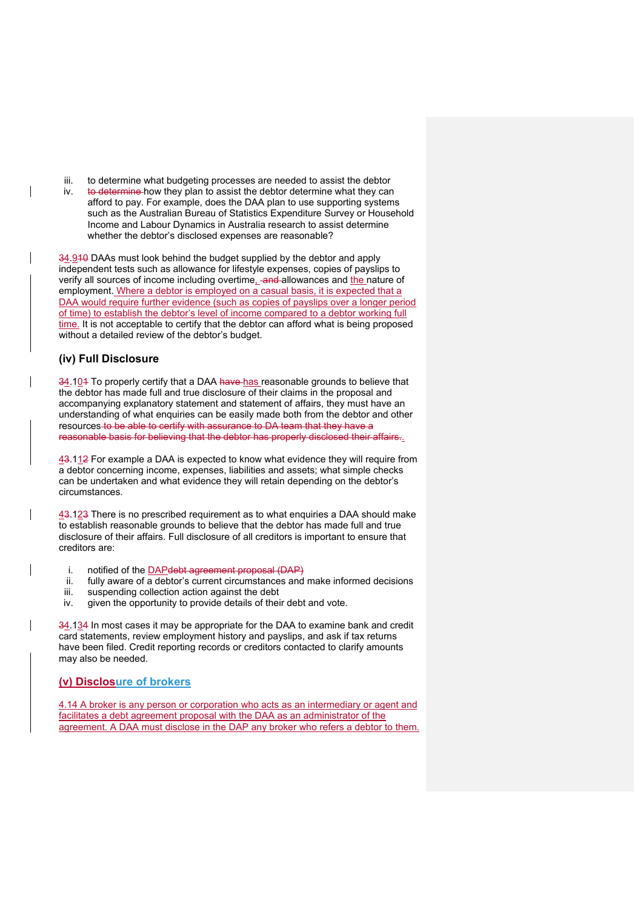- iii. to determine what budgeting processes are needed to assist the debtor
- iv. to determine how they plan to assist the debtor determine what they can afford to pay. For example, does the DAA plan to use supporting systems such as the Australian Bureau of Statistics Expenditure Survey or Household Income and Labour Dynamics in Australia research to assist determine whether the debtor's disclosed expenses are reasonable?

34.910 DAAs must look behind the budget supplied by the debtor and apply independent tests such as allowance for lifestyle expenses, copies of payslips to verify all sources of income including overtime, and allowances and the nature of employment. Where a debtor is employed on a casual basis, it is expected that a DAA would require further evidence (such as copies of payslips over a longer period of time) to establish the debtor's level of income compared to a debtor working full time. It is not acceptable to certify that the debtor can afford what is being proposed without a detailed review of the debtor's budget.

## **(iv) Full Disclosure**

34.104 To properly certify that a DAA have has reasonable grounds to believe that the debtor has made full and true disclosure of their claims in the proposal and accompanying explanatory statement and statement of affairs, they must have an understanding of what enquiries can be easily made both from the debtor and other resources to be able to certify with assurance to DA team that they have a reasonable basis for believing that the debtor has properly disclosed their affairs..

43.112 For example a DAA is expected to know what evidence they will require from a debtor concerning income, expenses, liabilities and assets; what simple checks can be undertaken and what evidence they will retain depending on the debtor's circumstances.

43.123 There is no prescribed requirement as to what enquiries a DAA should make to establish reasonable grounds to believe that the debtor has made full and true disclosure of their affairs. Full disclosure of all creditors is important to ensure that creditors are:

- i. notified of the DAPdebt agreement proposal (DAP)
- ii. fully aware of a debtor's current circumstances and make informed decisions
- iii. suspending collection action against the debt
- iv. given the opportunity to provide details of their debt and vote.

34.134 In most cases it may be appropriate for the DAA to examine bank and credit card statements, review employment history and payslips, and ask if tax returns have been filed. Credit reporting records or creditors contacted to clarify amounts may also be needed.

### **(v) Disclosure of brokers**

4.14 A broker is any person or corporation who acts as an intermediary or agent and facilitates a debt agreement proposal with the DAA as an administrator of the agreement. A DAA must disclose in the DAP any broker who refers a debtor to them.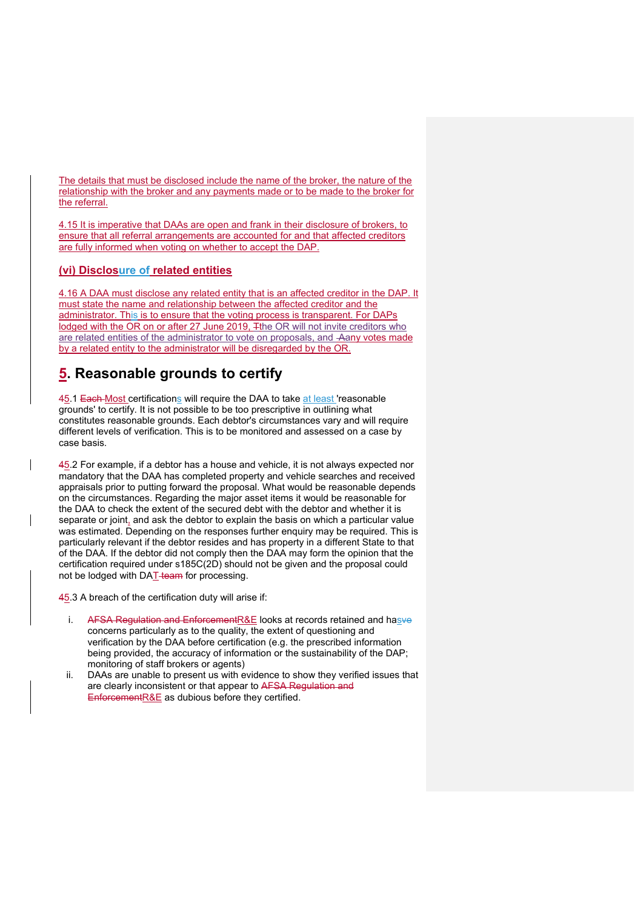The details that must be disclosed include the name of the broker, the nature of the relationship with the broker and any payments made or to be made to the broker for the referral.

4.15 It is imperative that DAAs are open and frank in their disclosure of brokers, to ensure that all referral arrangements are accounted for and that affected creditors are fully informed when voting on whether to accept the DAP.

## **(vi) Disclosure of related entities**

4.16 A DAA must disclose any related entity that is an affected creditor in the DAP. It must state the name and relationship between the affected creditor and the administrator. This is to ensure that the voting process is transparent. For DAPs lodged with the OR on or after 27 June 2019, Tthe OR will not invite creditors who are related entities of the administrator to vote on proposals, and Aany votes made by a related entity to the administrator will be disregarded by the OR.

# **5. Reasonable grounds to certify**

45.1 Each Most certifications will require the DAA to take at least 'reasonable grounds' to certify. It is not possible to be too prescriptive in outlining what constitutes reasonable grounds. Each debtor's circumstances vary and will require different levels of verification. This is to be monitored and assessed on a case by case basis.

45.2 For example, if a debtor has a house and vehicle, it is not always expected nor mandatory that the DAA has completed property and vehicle searches and received appraisals prior to putting forward the proposal. What would be reasonable depends on the circumstances. Regarding the major asset items it would be reasonable for the DAA to check the extent of the secured debt with the debtor and whether it is separate or joint, and ask the debtor to explain the basis on which a particular value was estimated. Depending on the responses further enquiry may be required. This is particularly relevant if the debtor resides and has property in a different State to that of the DAA. If the debtor did not comply then the DAA may form the opinion that the certification required under s185C(2D) should not be given and the proposal could not be lodged with DAT-team for processing.

45.3 A breach of the certification duty will arise if:

- i. AFSA Regulation and EnforcementR&E looks at records retained and hasve concerns particularly as to the quality, the extent of questioning and verification by the DAA before certification (e.g. the prescribed information being provided, the accuracy of information or the sustainability of the DAP; monitoring of staff brokers or agents)
- ii. DAAs are unable to present us with evidence to show they verified issues that are clearly inconsistent or that appear to AFSA Regulation and EnforcementR&E as dubious before they certified.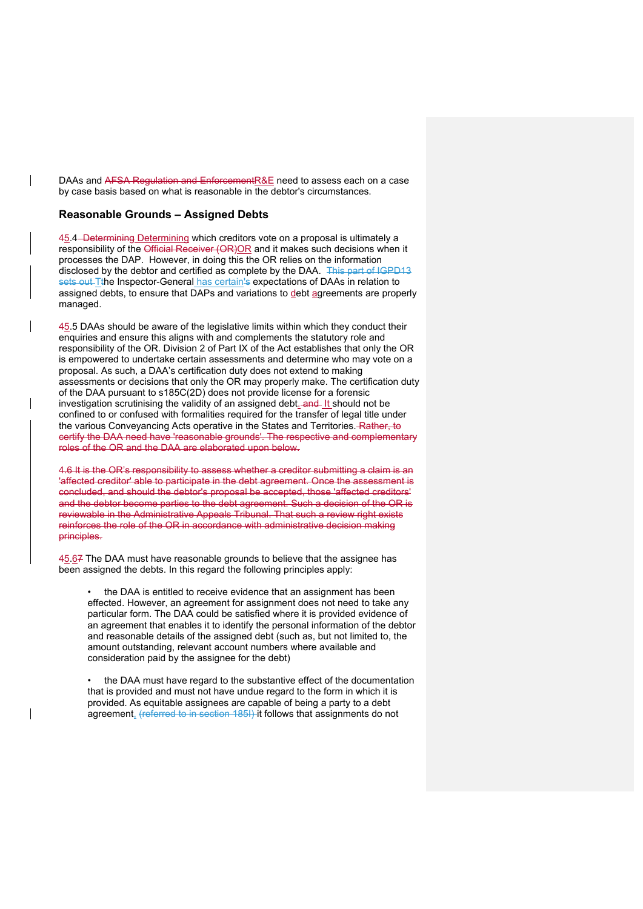DAAs and AFSA Regulation and EnforcementR&E need to assess each on a case by case basis based on what is reasonable in the debtor's circumstances.

#### **Reasonable Grounds – Assigned Debts**

 $\mathbf{I}$ 

45.4 Determining Determining which creditors vote on a proposal is ultimately a responsibility of the Official Receiver (OR)OR and it makes such decisions when it processes the DAP. However, in doing this the OR relies on the information disclosed by the debtor and certified as complete by the DAA. This part of IGPD13 sets out Tthe Inspector-General has certain's expectations of DAAs in relation to assigned debts, to ensure that DAPs and variations to debt agreements are properly managed.

45.5 DAAs should be aware of the legislative limits within which they conduct their enquiries and ensure this aligns with and complements the statutory role and responsibility of the OR. Division 2 of Part IX of the Act establishes that only the OR is empowered to undertake certain assessments and determine who may vote on a proposal. As such, a DAA's certification duty does not extend to making assessments or decisions that only the OR may properly make. The certification duty of the DAA pursuant to s185C(2D) does not provide license for a forensic investigation scrutinising the validity of an assigned debt. and It should not be confined to or confused with formalities required for the transfer of legal title under the various Conveyancing Acts operative in the States and Territories. Rather, to certify the DAA need have 'reasonable grounds'. The respective and complementary roles of the OR and the DAA are elaborated upon below.

4.6 It is the OR's responsibility to assess whether a creditor submitting a claim is an 'affected creditor' able to participate in the debt agreement. Once the assessment is concluded, and should the debtor's proposal be accepted, those 'affected creditors' and the debtor become parties to the debt agreement. Such a decision of the OR is reviewable in the Administrative Appeals Tribunal. That such a review right exists reinforces the role of the OR in accordance with administrative decision making principles.

45.67 The DAA must have reasonable grounds to believe that the assignee has been assigned the debts. In this regard the following principles apply:

the DAA is entitled to receive evidence that an assignment has been effected. However, an agreement for assignment does not need to take any particular form. The DAA could be satisfied where it is provided evidence of an agreement that enables it to identify the personal information of the debtor and reasonable details of the assigned debt (such as, but not limited to, the amount outstanding, relevant account numbers where available and consideration paid by the assignee for the debt)

• the DAA must have regard to the substantive effect of the documentation that is provided and must not have undue regard to the form in which it is provided. As equitable assignees are capable of being a party to a debt agreement, (referred to in section 185I) it follows that assignments do not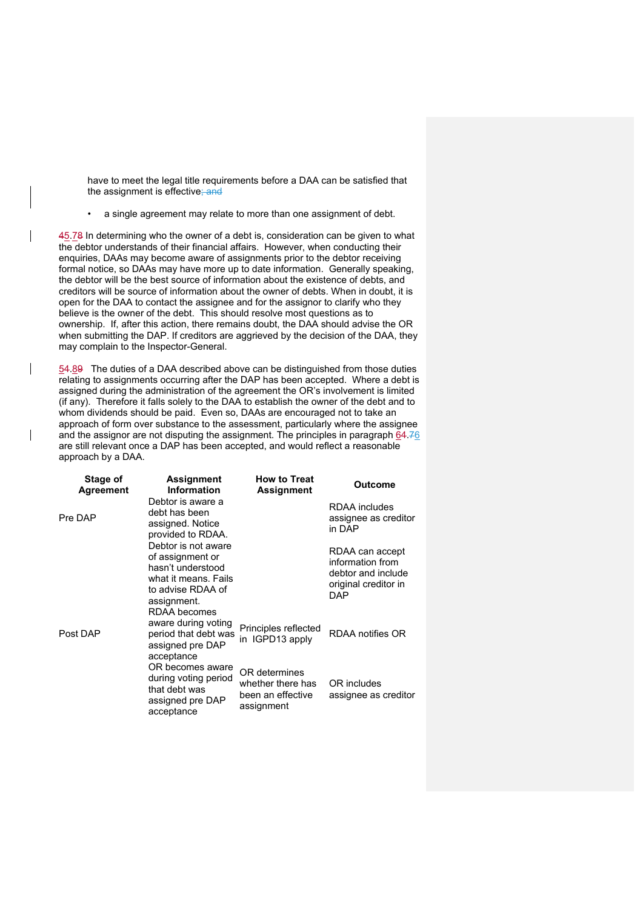have to meet the legal title requirements before a DAA can be satisfied that the assignment is effective; and

• a single agreement may relate to more than one assignment of debt.

45.78 In determining who the owner of a debt is, consideration can be given to what the debtor understands of their financial affairs. However, when conducting their enquiries, DAAs may become aware of assignments prior to the debtor receiving formal notice, so DAAs may have more up to date information. Generally speaking, the debtor will be the best source of information about the existence of debts, and creditors will be source of information about the owner of debts. When in doubt, it is open for the DAA to contact the assignee and for the assignor to clarify who they believe is the owner of the debt. This should resolve most questions as to ownership. If, after this action, there remains doubt, the DAA should advise the OR when submitting the DAP. If creditors are aggrieved by the decision of the DAA, they may complain to the Inspector-General.

54.89 The duties of a DAA described above can be distinguished from those duties relating to assignments occurring after the DAP has been accepted. Where a debt is assigned during the administration of the agreement the OR's involvement is limited (if any). Therefore it falls solely to the DAA to establish the owner of the debt and to whom dividends should be paid. Even so, DAAs are encouraged not to take an approach of form over substance to the assessment, particularly where the assignee and the assignor are not disputing the assignment. The principles in paragraph 64.76 are still relevant once a DAP has been accepted, and would reflect a reasonable approach by a DAA.

| Stage of<br>Agreement | Assignment<br><b>Information</b>                                                                                                         | <b>How to Treat</b><br><b>Assignment</b>                              | Outcome                                                                                  |
|-----------------------|------------------------------------------------------------------------------------------------------------------------------------------|-----------------------------------------------------------------------|------------------------------------------------------------------------------------------|
| Pre DAP               | Debtor is aware a<br>debt has been<br>assigned. Notice<br>provided to RDAA.                                                              |                                                                       | RDAA includes<br>assignee as creditor<br>in DAP                                          |
|                       | Debtor is not aware<br>of assignment or<br>hasn't understood<br>what it means. Fails<br>to advise RDAA of<br>assignment.<br>RDAA becomes |                                                                       | RDAA can accept<br>information from<br>debtor and include<br>original creditor in<br>DAP |
| Post DAP              | aware during voting<br>period that debt was<br>assigned pre DAP<br>acceptance                                                            | Principles reflected<br>in IGPD13 apply                               | RDAA notifies OR                                                                         |
|                       | OR becomes aware<br>during voting period<br>that debt was<br>assigned pre DAP<br>acceptance                                              | OR determines<br>whether there has<br>been an effective<br>assignment | OR includes<br>assignee as creditor                                                      |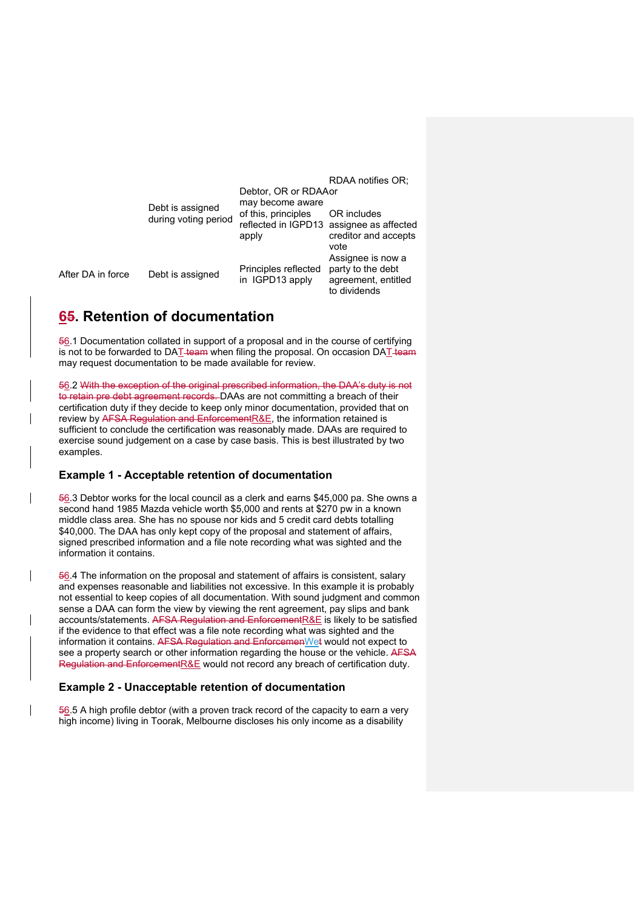RDAA notifies OR;

|                   | Debt is assigned<br>during voting period | Debtor, OR or RDAAor<br>may become aware<br>of this, principles<br>apply | OR includes<br>reflected in IGPD13 assignee as affected<br>creditor and accepts       |
|-------------------|------------------------------------------|--------------------------------------------------------------------------|---------------------------------------------------------------------------------------|
| After DA in force | Debt is assigned                         | Principles reflected<br>in IGPD13 apply                                  | vote<br>Assignee is now a<br>party to the debt<br>agreement, entitled<br>to dividends |

# **65. Retention of documentation**

56.1 Documentation collated in support of a proposal and in the course of certifying  $\overline{a}$  not to be forwarded to DAT team when filing the proposal. On occasion DAT team may request documentation to be made available for review.

56.2 With the exception of the original prescribed information, the DAA's duty is not to retain pre debt agreement records. DAAs are not committing a breach of their certification duty if they decide to keep only minor documentation, provided that on review by AFSA Regulation and EnforcementR&E, the information retained is sufficient to conclude the certification was reasonably made. DAAs are required to exercise sound judgement on a case by case basis. This is best illustrated by two examples.

### **Example 1 - Acceptable retention of documentation**

56.3 Debtor works for the local council as a clerk and earns \$45,000 pa. She owns a second hand 1985 Mazda vehicle worth \$5,000 and rents at \$270 pw in a known middle class area. She has no spouse nor kids and 5 credit card debts totalling \$40,000. The DAA has only kept copy of the proposal and statement of affairs, signed prescribed information and a file note recording what was sighted and the information it contains.

56.4 The information on the proposal and statement of affairs is consistent, salary and expenses reasonable and liabilities not excessive. In this example it is probably not essential to keep copies of all documentation. With sound judgment and common sense a DAA can form the view by viewing the rent agreement, pay slips and bank accounts/statements. AFSA Regulation and EnforcementR&E is likely to be satisfied if the evidence to that effect was a file note recording what was sighted and the information it contains. AFSA Regulation and EnforcemenWet would not expect to see a property search or other information regarding the house or the vehicle. AFSA Regulation and EnforcementR&E would not record any breach of certification duty.

### **Example 2 - Unacceptable retention of documentation**

 $\frac{56}{6}$ .5 A high profile debtor (with a proven track record of the capacity to earn a very high income) living in Toorak, Melbourne discloses his only income as a disability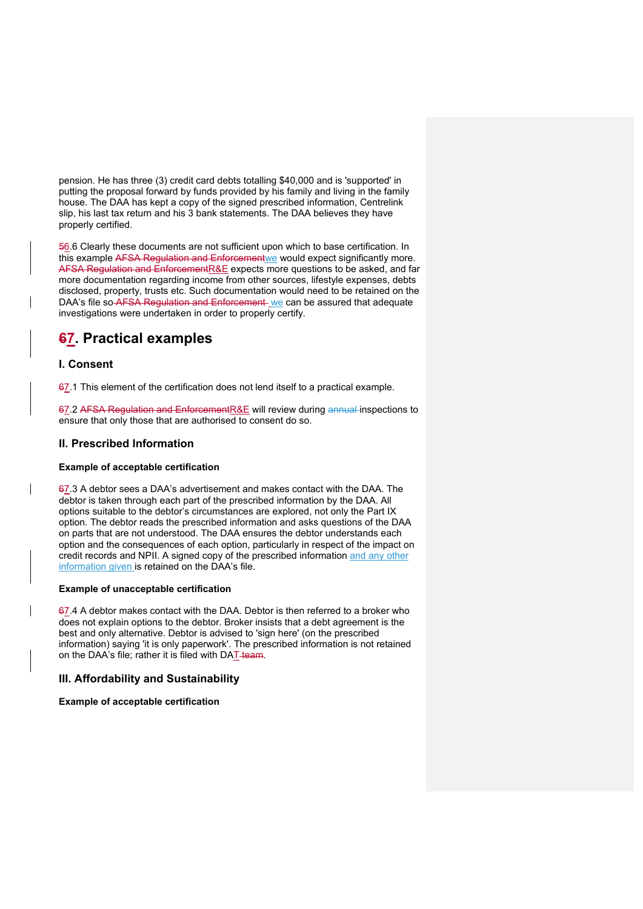pension. He has three (3) credit card debts totalling \$40,000 and is 'supported' in putting the proposal forward by funds provided by his family and living in the family house. The DAA has kept a copy of the signed prescribed information, Centrelink slip, his last tax return and his 3 bank statements. The DAA believes they have properly certified.

56.6 Clearly these documents are not sufficient upon which to base certification. In this example AFSA Regulation and Enforcementwe would expect significantly more. AFSA Regulation and EnforcementR&E expects more questions to be asked, and far more documentation regarding income from other sources, lifestyle expenses, debts disclosed, property, trusts etc. Such documentation would need to be retained on the DAA's file so AFSA Regulation and Enforcement we can be assured that adequate investigations were undertaken in order to properly certify.

# **67. Practical examples**

## **I. Consent**

67.1 This element of the certification does not lend itself to a practical example.

67.2 AFSA Regulation and EnforcementR&E will review during annual inspections to ensure that only those that are authorised to consent do so.

## **II. Prescribed Information**

### **Example of acceptable certification**

67.3 A debtor sees a DAA's advertisement and makes contact with the DAA. The debtor is taken through each part of the prescribed information by the DAA. All options suitable to the debtor's circumstances are explored, not only the Part IX option. The debtor reads the prescribed information and asks questions of the DAA on parts that are not understood. The DAA ensures the debtor understands each option and the consequences of each option, particularly in respect of the impact on credit records and NPII. A signed copy of the prescribed information and any other information given is retained on the DAA's file.

### **Example of unacceptable certification**

67.4 A debtor makes contact with the DAA. Debtor is then referred to a broker who does not explain options to the debtor. Broker insists that a debt agreement is the best and only alternative. Debtor is advised to 'sign here' (on the prescribed information) saying 'it is only paperwork'. The prescribed information is not retained on the DAA's file; rather it is filed with DAT team.

### **III. Affordability and Sustainability**

### **Example of acceptable certification**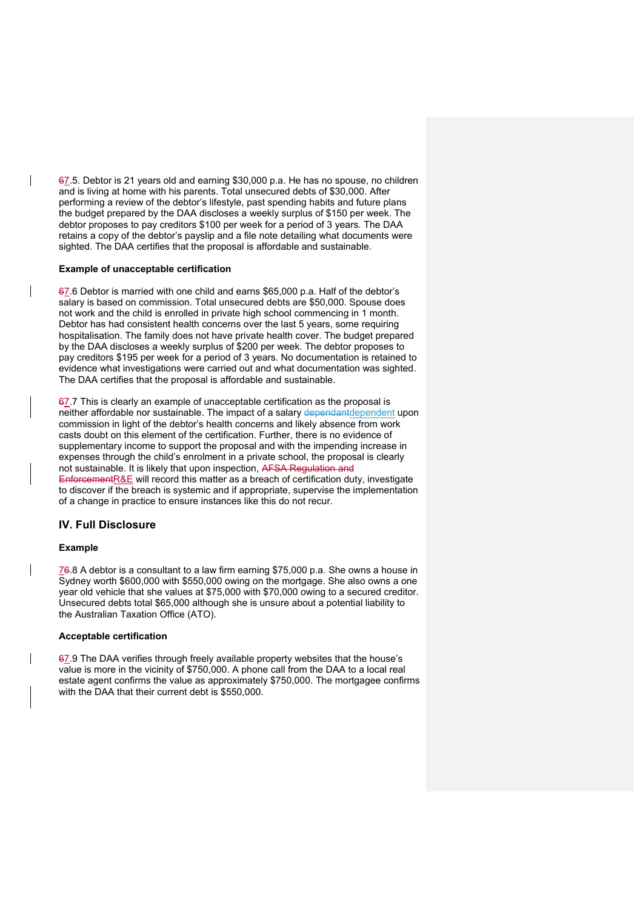67.5. Debtor is 21 years old and earning \$30,000 p.a. He has no spouse, no children and is living at home with his parents. Total unsecured debts of \$30,000. After performing a review of the debtor's lifestyle, past spending habits and future plans the budget prepared by the DAA discloses a weekly surplus of \$150 per week. The debtor proposes to pay creditors \$100 per week for a period of 3 years. The DAA retains a copy of the debtor's payslip and a file note detailing what documents were sighted. The DAA certifies that the proposal is affordable and sustainable.

#### **Example of unacceptable certification**

67.6 Debtor is married with one child and earns \$65,000 p.a. Half of the debtor's salary is based on commission. Total unsecured debts are \$50,000. Spouse does not work and the child is enrolled in private high school commencing in 1 month. Debtor has had consistent health concerns over the last 5 years, some requiring hospitalisation. The family does not have private health cover. The budget prepared by the DAA discloses a weekly surplus of \$200 per week. The debtor proposes to pay creditors \$195 per week for a period of 3 years. No documentation is retained to evidence what investigations were carried out and what documentation was sighted. The DAA certifies that the proposal is affordable and sustainable.

 $67.7$  This is clearly an example of unacceptable certification as the proposal is neither affordable nor sustainable. The impact of a salary dependantdependent upon commission in light of the debtor's health concerns and likely absence from work casts doubt on this element of the certification. Further, there is no evidence of supplementary income to support the proposal and with the impending increase in expenses through the child's enrolment in a private school, the proposal is clearly not sustainable. It is likely that upon inspection, AFSA Regulation and EnforcementR&E will record this matter as a breach of certification duty, investigate to discover if the breach is systemic and if appropriate, supervise the implementation of a change in practice to ensure instances like this do not recur.

### **IV. Full Disclosure**

#### **Example**

 $\overline{\phantom{a}}$ 

76.8 A debtor is a consultant to a law firm earning \$75,000 p.a. She owns a house in Sydney worth \$600,000 with \$550,000 owing on the mortgage. She also owns a one year old vehicle that she values at \$75,000 with \$70,000 owing to a secured creditor. Unsecured debts total \$65,000 although she is unsure about a potential liability to the Australian Taxation Office (ATO).

#### **Acceptable certification**

67.9 The DAA verifies through freely available property websites that the house's value is more in the vicinity of \$750,000. A phone call from the DAA to a local real estate agent confirms the value as approximately \$750,000. The mortgagee confirms with the DAA that their current debt is \$550,000.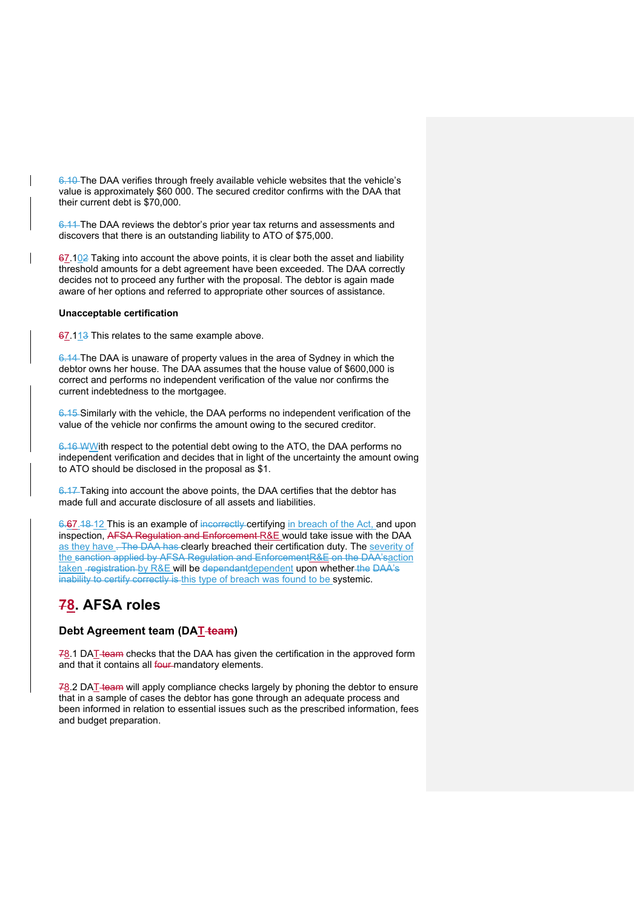6.10 The DAA verifies through freely available vehicle websites that the vehicle's value is approximately \$60 000. The secured creditor confirms with the DAA that their current debt is \$70,000.

6.11 The DAA reviews the debtor's prior year tax returns and assessments and discovers that there is an outstanding liability to ATO of \$75,000.

67.102 Taking into account the above points, it is clear both the asset and liability threshold amounts for a debt agreement have been exceeded. The DAA correctly decides not to proceed any further with the proposal. The debtor is again made aware of her options and referred to appropriate other sources of assistance.

### **Unacceptable certification**

67.113 This relates to the same example above.

6.14 The DAA is unaware of property values in the area of Sydney in which the debtor owns her house. The DAA assumes that the house value of \$600,000 is correct and performs no independent verification of the value nor confirms the current indebtedness to the mortgagee.

6.15 Similarly with the vehicle, the DAA performs no independent verification of the value of the vehicle nor confirms the amount owing to the secured creditor.

6.16 WWith respect to the potential debt owing to the ATO, the DAA performs no independent verification and decides that in light of the uncertainty the amount owing to ATO should be disclosed in the proposal as \$1.

6.17 Taking into account the above points, the DAA certifies that the debtor has made full and accurate disclosure of all assets and liabilities.

6.67.18-12 This is an example of incorrectly certifying in breach of the Act, and upon inspection, AFSA Regulation and Enforcement R&E would take issue with the DAA as they have . The DAA has clearly breached their certification duty. The severity of the sanction applied by AFSA Regulation and EnforcementR&E on the DAA'saction taken -registration by R&E will be dependantdependent upon whether the DAA's inability to certify correctly is this type of breach was found to be systemic.

# **78. AFSA roles**

### **Debt Agreement team (DAT team)**

 $78.1$  DAT-team checks that the DAA has given the certification in the approved form and that it contains all four-mandatory elements.

 $78.2$  DAT-team will apply compliance checks largely by phoning the debtor to ensure that in a sample of cases the debtor has gone through an adequate process and been informed in relation to essential issues such as the prescribed information, fees and budget preparation.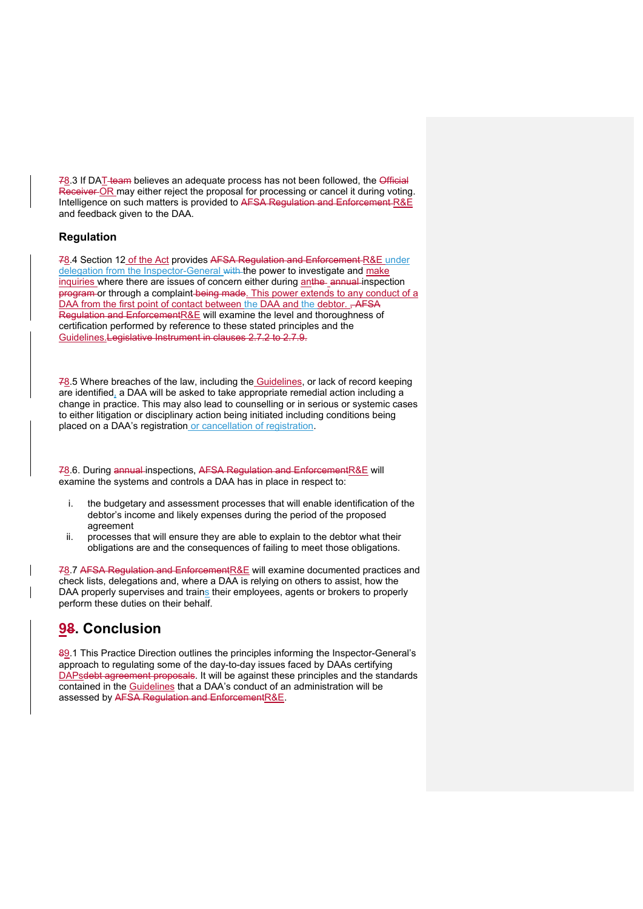78.3 If DAT team believes an adequate process has not been followed, the Official Receiver OR may either reject the proposal for processing or cancel it during voting. Intelligence on such matters is provided to AFSA Regulation and Enforcement R&E and feedback given to the DAA.

### **Regulation**

78.4 Section 12 of the Act provides AFSA Regulation and Enforcement R&E under delegation from the Inspector-General with the power to investigate and make inquiries where there are issues of concern either during anthe annual inspection program or through a complaint being made. This power extends to any conduct of a DAA from the first point of contact between the DAA and the debtor. , AFSA Regulation and EnforcementR&E will examine the level and thoroughness of certification performed by reference to these stated principles and the Guidelines.Legislative Instrument in clauses 2.7.2 to 2.7.9.

78.5 Where breaches of the law, including the Guidelines, or lack of record keeping are identified, a DAA will be asked to take appropriate remedial action including a change in practice. This may also lead to counselling or in serious or systemic cases to either litigation or disciplinary action being initiated including conditions being placed on a DAA's registration or cancellation of registration.

78.6. During annual inspections, AFSA Regulation and EnforcementR&E will examine the systems and controls a DAA has in place in respect to:

- i. the budgetary and assessment processes that will enable identification of the debtor's income and likely expenses during the period of the proposed agreement
- ii. processes that will ensure they are able to explain to the debtor what their obligations are and the consequences of failing to meet those obligations.

78.7 AFSA Regulation and EnforcementR&E will examine documented practices and check lists, delegations and, where a DAA is relying on others to assist, how the DAA properly supervises and trains their employees, agents or brokers to properly perform these duties on their behalf.

# **98. Conclusion**

89.1 This Practice Direction outlines the principles informing the Inspector-General's approach to regulating some of the day-to-day issues faced by DAAs certifying DAPsdebt agreement proposals. It will be against these principles and the standards contained in the Guidelines that a DAA's conduct of an administration will be assessed by AFSA Regulation and EnforcementR&E.